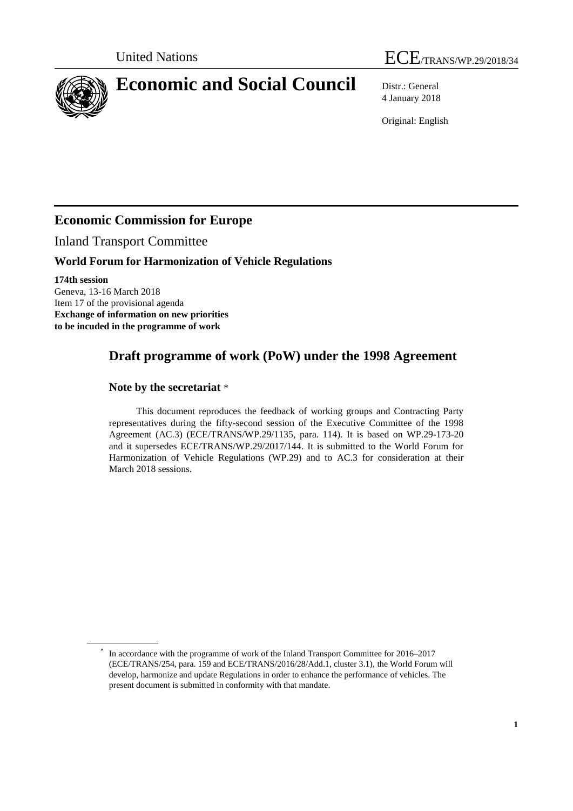



4 January 2018

Original: English

### **Economic Commission for Europe**

Inland Transport Committee

#### **World Forum for Harmonization of Vehicle Regulations**

**174th session**

Geneva, 13-16 March 2018 Item 17 of the provisional agenda **Exchange of information on new priorities to be incuded in the programme of work**

## **Draft programme of work (PoW) under the 1998 Agreement**

#### **Note by the secretariat** \*

This document reproduces the feedback of working groups and Contracting Party representatives during the fifty-second session of the Executive Committee of the 1998 Agreement (AC.3) (ECE/TRANS/WP.29/1135, para. 114). It is based on WP.29-173-20 and it supersedes ECE/TRANS/WP.29/2017/144. It is submitted to the World Forum for Harmonization of Vehicle Regulations (WP.29) and to AC.3 for consideration at their March 2018 sessions.

<sup>\*</sup> In accordance with the programme of work of the Inland Transport Committee for 2016–2017 (ECE/TRANS/254, para. 159 and ECE/TRANS/2016/28/Add.1, cluster 3.1), the World Forum will develop, harmonize and update Regulations in order to enhance the performance of vehicles. The present document is submitted in conformity with that mandate.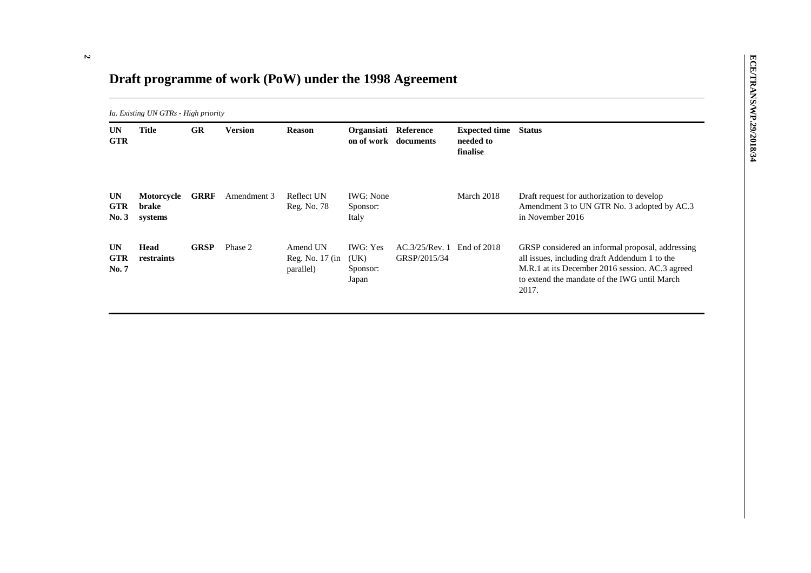# **Draft programme of work (PoW) under the 1998 Agreement**

|                                  | Ia. Existing UN GTRs - High priority |             |                |                                          |                                              |                                              |                                               |                                                                                                                                                                                                               |  |  |
|----------------------------------|--------------------------------------|-------------|----------------|------------------------------------------|----------------------------------------------|----------------------------------------------|-----------------------------------------------|---------------------------------------------------------------------------------------------------------------------------------------------------------------------------------------------------------------|--|--|
| <b>UN</b><br><b>GTR</b>          | <b>Title</b>                         | <b>GR</b>   | <b>Version</b> | <b>Reason</b>                            | Organsiati Reference                         | on of work documents                         | <b>Expected time</b><br>needed to<br>finalise | <b>Status</b>                                                                                                                                                                                                 |  |  |
| <b>UN</b><br><b>GTR</b><br>No. 3 | Motorcycle<br>brake<br>systems       | <b>GRRF</b> | Amendment 3    | Reflect UN<br>Reg. No. 78                | <b>IWG</b> : None<br>Sponsor:<br>Italy       |                                              | March 2018                                    | Draft request for authorization to develop<br>Amendment 3 to UN GTR No. 3 adopted by AC.3<br>in November 2016                                                                                                 |  |  |
| <b>UN</b><br><b>GTR</b><br>No. 7 | Head<br>restraints                   | <b>GRSP</b> | Phase 2        | Amend UN<br>Reg. No. 17 (in<br>parallel) | <b>IWG: Yes</b><br>(UK)<br>Sponsor:<br>Japan | $AC.3/25/Rev. 1$ End of 2018<br>GRSP/2015/34 |                                               | GRSP considered an informal proposal, addressing<br>all issues, including draft Addendum 1 to the<br>M.R.1 at its December 2016 session. AC.3 agreed<br>to extend the mandate of the IWG until March<br>2017. |  |  |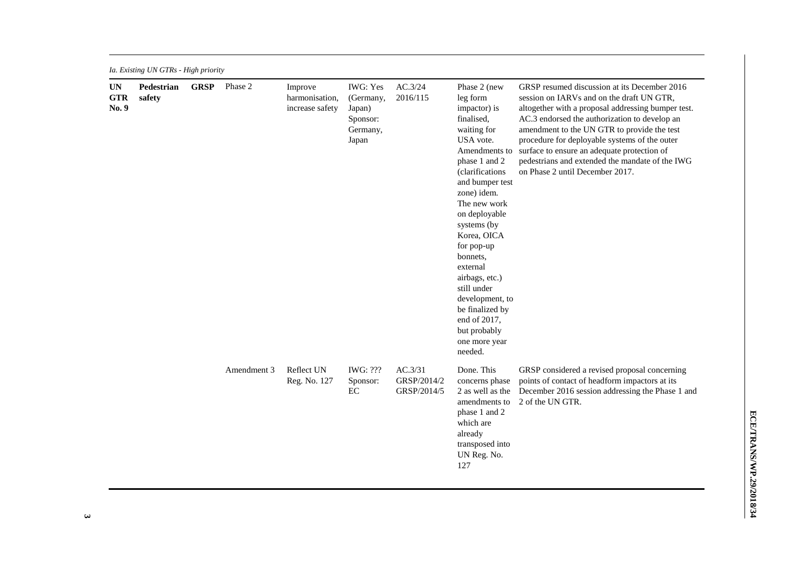| <b>UN</b>           | Pedestrian | <b>GRSP</b> | Phase 2     | Improve                           | <b>IWG:</b> Yes                                      | AC.3/24                               | Phase 2 (new                                                                                                                                                                                                                                                                                                                                                                                             | GRSP resumed discussion at its December 2016                                                                                                                                                                                                                                                                                                                                          |
|---------------------|------------|-------------|-------------|-----------------------------------|------------------------------------------------------|---------------------------------------|----------------------------------------------------------------------------------------------------------------------------------------------------------------------------------------------------------------------------------------------------------------------------------------------------------------------------------------------------------------------------------------------------------|---------------------------------------------------------------------------------------------------------------------------------------------------------------------------------------------------------------------------------------------------------------------------------------------------------------------------------------------------------------------------------------|
| <b>GTR</b><br>No. 9 | safety     |             |             | harmonisation,<br>increase safety | (Germany,<br>Japan)<br>Sponsor:<br>Germany,<br>Japan | 2016/115                              | leg form<br>impactor) is<br>finalised,<br>waiting for<br>USA vote.<br>Amendments to<br>phase 1 and 2<br><i>(clarifications</i><br>and bumper test<br>zone) idem.<br>The new work<br>on deployable<br>systems (by<br>Korea, OICA<br>for pop-up<br>bonnets,<br>external<br>airbags, etc.)<br>still under<br>development, to<br>be finalized by<br>end of 2017,<br>but probably<br>one more year<br>needed. | session on IARVs and on the draft UN GTR,<br>altogether with a proposal addressing bumper test.<br>AC.3 endorsed the authorization to develop an<br>amendment to the UN GTR to provide the test<br>procedure for deployable systems of the outer<br>surface to ensure an adequate protection of<br>pedestrians and extended the mandate of the IWG<br>on Phase 2 until December 2017. |
|                     |            |             | Amendment 3 | Reflect UN<br>Reg. No. 127        | <b>IWG: ???</b><br>Sponsor:<br>EC                    | AC.3/31<br>GRSP/2014/2<br>GRSP/2014/5 | Done. This<br>concerns phase<br>2 as well as the<br>amendments to<br>phase 1 and 2<br>which are<br>already<br>transposed into<br>UN Reg. No.<br>127                                                                                                                                                                                                                                                      | GRSP considered a revised proposal concerning<br>points of contact of headform impactors at its<br>December 2016 session addressing the Phase 1 and<br>2 of the UN GTR.                                                                                                                                                                                                               |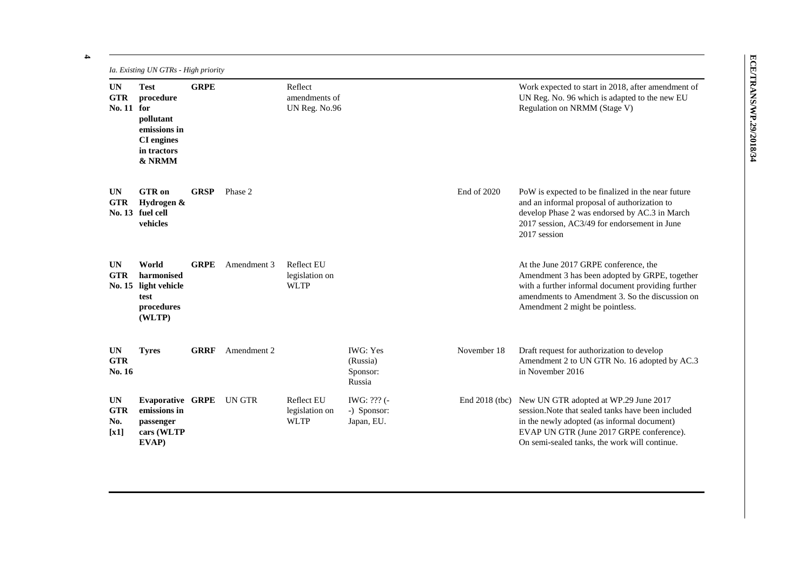*Ia. Existing UN GTRs - High priority*

**4**

| <b>UN</b><br><b>GTR</b><br>No. 11      | <b>Test</b><br>procedure<br>for<br>pollutant<br>emissions in<br><b>CI</b> engines<br>in tractors<br>& NRMM | <b>GRPE</b> |             | Reflect<br>amendments of<br>UN Reg. No.96          |                                                   |                  | Work expected to start in 2018, after amendment of<br>UN Reg. No. 96 which is adapted to the new EU<br>Regulation on NRMM (Stage V)                                                                                                     |
|----------------------------------------|------------------------------------------------------------------------------------------------------------|-------------|-------------|----------------------------------------------------|---------------------------------------------------|------------------|-----------------------------------------------------------------------------------------------------------------------------------------------------------------------------------------------------------------------------------------|
| <b>UN</b><br><b>GTR</b><br>No. 13      | <b>GTR</b> on<br>Hydrogen &<br>fuel cell<br>vehicles                                                       | <b>GRSP</b> | Phase 2     |                                                    |                                                   | End of 2020      | PoW is expected to be finalized in the near future<br>and an informal proposal of authorization to<br>develop Phase 2 was endorsed by AC.3 in March<br>2017 session, AC3/49 for endorsement in June<br>2017 session                     |
| <b>UN</b><br><b>GTR</b><br>No. 15      | World<br>harmonised<br>light vehicle<br>test<br>procedures<br>(WLTP)                                       | <b>GRPE</b> | Amendment 3 | Reflect EU<br>legislation on<br><b>WLTP</b>        |                                                   |                  | At the June 2017 GRPE conference, the<br>Amendment 3 has been adopted by GRPE, together<br>with a further informal document providing further<br>amendments to Amendment 3. So the discussion on<br>Amendment 2 might be pointless.     |
| <b>UN</b><br><b>GTR</b><br>No. 16      | <b>Tyres</b>                                                                                               | <b>GRRF</b> | Amendment 2 |                                                    | <b>IWG: Yes</b><br>(Russia)<br>Sponsor:<br>Russia | November 18      | Draft request for authorization to develop<br>Amendment 2 to UN GTR No. 16 adopted by AC.3<br>in November 2016                                                                                                                          |
| <b>UN</b><br><b>GTR</b><br>No.<br>[x1] | <b>Evaporative GRPE</b><br>emissions in<br>passenger<br>cars (WLTP<br>EVAP)                                |             | UN GTR      | <b>Reflect EU</b><br>legislation on<br><b>WLTP</b> | <b>IWG</b> : ??? (-<br>-) Sponsor:<br>Japan, EU.  | End $2018$ (tbc) | New UN GTR adopted at WP.29 June 2017<br>session. Note that sealed tanks have been included<br>in the newly adopted (as informal document)<br>EVAP UN GTR (June 2017 GRPE conference).<br>On semi-sealed tanks, the work will continue. |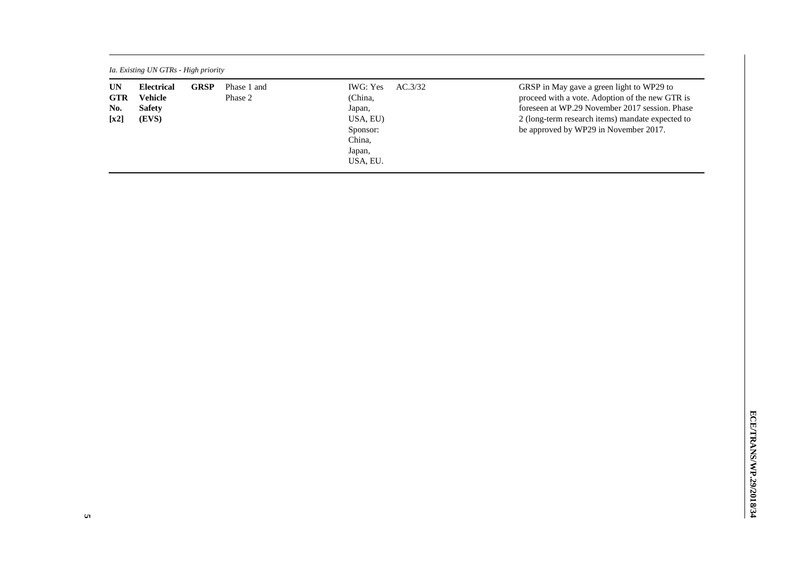|                                                   | Ia. Existing UN GTRs - High priority                          |             |                        |                                                                                                         |                                                                                                                                                                                                                                             |  |  |  |  |  |
|---------------------------------------------------|---------------------------------------------------------------|-------------|------------------------|---------------------------------------------------------------------------------------------------------|---------------------------------------------------------------------------------------------------------------------------------------------------------------------------------------------------------------------------------------------|--|--|--|--|--|
| <b>UN</b><br><b>GTR</b><br>No.<br>$\mathbf{[x2]}$ | <b>Electrical</b><br><b>Vehicle</b><br><b>Safety</b><br>(EVS) | <b>GRSP</b> | Phase 1 and<br>Phase 2 | <b>IWG: Yes</b><br>AC.3/32<br>(China,<br>Japan,<br>USA, EU)<br>Sponsor:<br>China.<br>Japan,<br>USA, EU. | GRSP in May gave a green light to WP29 to<br>proceed with a vote. Adoption of the new GTR is<br>foreseen at WP.29 November 2017 session. Phase<br>2 (long-term research items) mandate expected to<br>be approved by WP29 in November 2017. |  |  |  |  |  |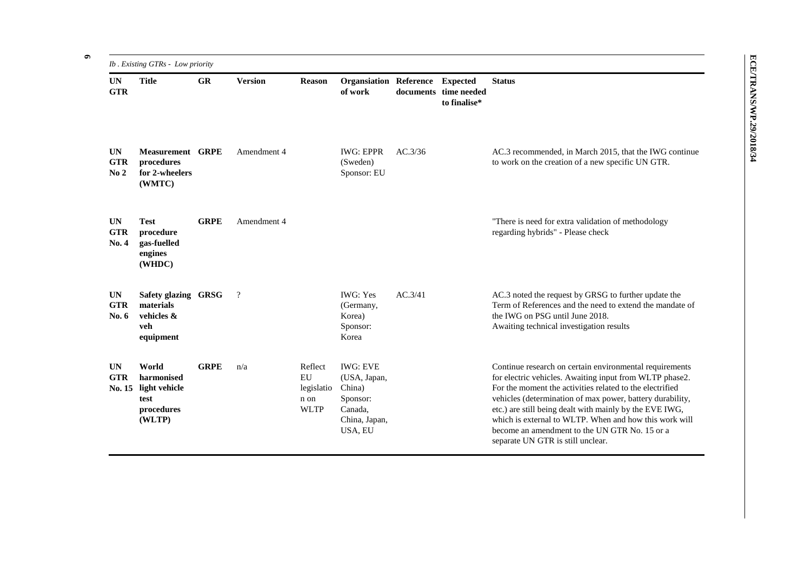|                                            | Ib . Existing GTRs - Low priority                                    |             |                |                                                    |                                                                                              |         |                                       |                                                                                                                                                                                                                                                                                                                                                                                                                                                        |
|--------------------------------------------|----------------------------------------------------------------------|-------------|----------------|----------------------------------------------------|----------------------------------------------------------------------------------------------|---------|---------------------------------------|--------------------------------------------------------------------------------------------------------------------------------------------------------------------------------------------------------------------------------------------------------------------------------------------------------------------------------------------------------------------------------------------------------------------------------------------------------|
| <b>UN</b><br><b>GTR</b>                    | <b>Title</b>                                                         | <b>GR</b>   | <b>Version</b> | <b>Reason</b>                                      | <b>Organsiation Reference Expected</b><br>of work                                            |         | documents time needed<br>to finalise* | <b>Status</b>                                                                                                                                                                                                                                                                                                                                                                                                                                          |
| <b>UN</b><br><b>GTR</b><br>No <sub>2</sub> | <b>Measurement GRPE</b><br>procedures<br>for 2-wheelers<br>(WMTC)    |             | Amendment 4    |                                                    | <b>IWG: EPPR</b><br>(Sweden)<br>Sponsor: EU                                                  | AC.3/36 |                                       | AC.3 recommended, in March 2015, that the IWG continue<br>to work on the creation of a new specific UN GTR.                                                                                                                                                                                                                                                                                                                                            |
| <b>UN</b><br><b>GTR</b><br>No. 4           | <b>Test</b><br>procedure<br>gas-fuelled<br>engines<br>(WHDC)         | <b>GRPE</b> | Amendment 4    |                                                    |                                                                                              |         |                                       | "There is need for extra validation of methodology<br>regarding hybrids" - Please check                                                                                                                                                                                                                                                                                                                                                                |
| <b>UN</b><br><b>GTR</b><br>No. $6$         | Safety glazing GRSG<br>materials<br>vehicles &<br>veh<br>equipment   |             | $\overline{?}$ |                                                    | <b>IWG: Yes</b><br>(Germany,<br>Korea)<br>Sponsor:<br>Korea                                  | AC.3/41 |                                       | AC.3 noted the request by GRSG to further update the<br>Term of References and the need to extend the mandate of<br>the IWG on PSG until June 2018.<br>Awaiting technical investigation results                                                                                                                                                                                                                                                        |
| <b>UN</b><br><b>GTR</b><br><b>No. 15</b>   | World<br>harmonised<br>light vehicle<br>test<br>procedures<br>(WLTP) | <b>GRPE</b> | n/a            | Reflect<br>EU<br>legislatio<br>n on<br><b>WLTP</b> | <b>IWG: EVE</b><br>(USA, Japan,<br>China)<br>Sponsor:<br>Canada,<br>China, Japan,<br>USA, EU |         |                                       | Continue research on certain environmental requirements<br>for electric vehicles. Awaiting input from WLTP phase2.<br>For the moment the activities related to the electrified<br>vehicles (determination of max power, battery durability,<br>etc.) are still being dealt with mainly by the EVE IWG,<br>which is external to WLTP. When and how this work will<br>become an amendment to the UN GTR No. 15 or a<br>separate UN GTR is still unclear. |

**6**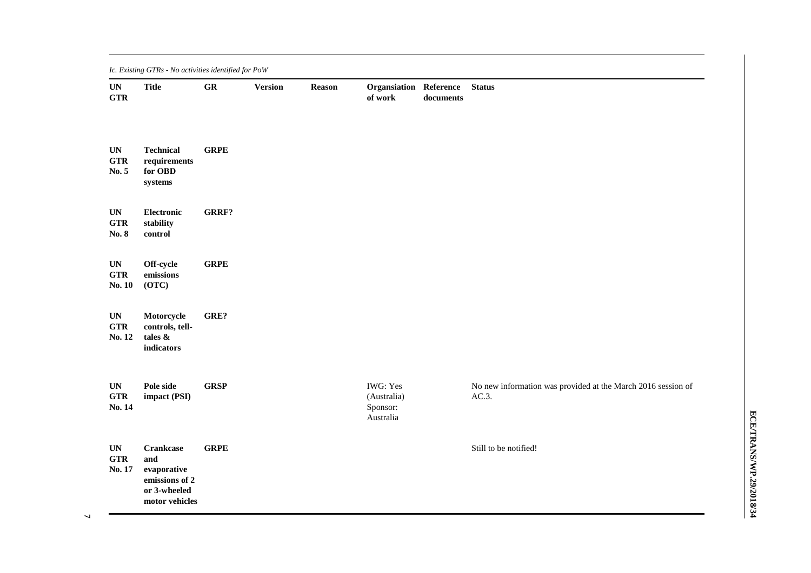|  |  |  | Ic. Existing GTRs - No activities identified for PoW |  |
|--|--|--|------------------------------------------------------|--|
|--|--|--|------------------------------------------------------|--|

| <b>UN</b><br><b>GTR</b>                            | <b>Title</b>                                                                               | ${\bf G}{\bf R}$ | <b>Version</b> | Reason | <b>Organsiation Reference</b><br>of work                | documents | <b>Status</b>                                                         |
|----------------------------------------------------|--------------------------------------------------------------------------------------------|------------------|----------------|--------|---------------------------------------------------------|-----------|-----------------------------------------------------------------------|
| <b>UN</b><br><b>GTR</b><br>No. 5                   | <b>Technical</b><br>requirements<br>for OBD<br>systems                                     | <b>GRPE</b>      |                |        |                                                         |           |                                                                       |
| <b>UN</b><br><b>GTR</b><br>No. 8                   | Electronic<br>stability<br>control                                                         | GRRF?            |                |        |                                                         |           |                                                                       |
| <b>UN</b><br>$\boldsymbol{\mathsf{GTR}}$<br>No. 10 | Off-cycle<br>emissions<br>(OTC)                                                            | <b>GRPE</b>      |                |        |                                                         |           |                                                                       |
| UN<br><b>GTR</b><br>No. 12                         | Motorcycle<br>controls, tell-<br>tales &<br>indicators                                     | GRE?             |                |        |                                                         |           |                                                                       |
| <b>UN</b><br><b>GTR</b><br>No. 14                  | Pole side<br>impact (PSI)                                                                  | <b>GRSP</b>      |                |        | <b>IWG:</b> Yes<br>(Australia)<br>Sponsor:<br>Australia |           | No new information was provided at the March 2016 session of<br>AC.3. |
| UN<br><b>GTR</b><br>No. 17                         | <b>Crankcase</b><br>and<br>evaporative<br>emissions of 2<br>or 3-wheeled<br>motor vehicles | <b>GRPE</b>      |                |        |                                                         |           | Still to be notified!                                                 |

**ECE/TRANS/WP.29/2018/3 ECE/TRANS/WP.29/2018/34**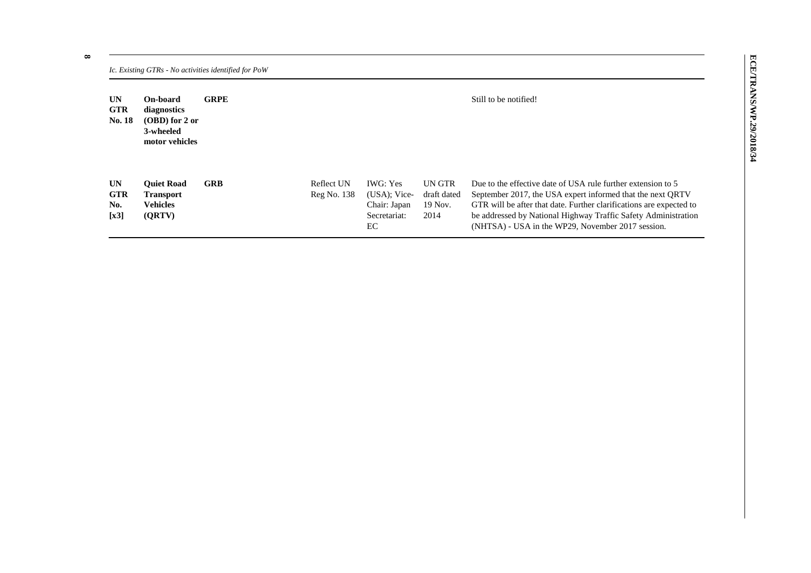|                                        |                                                                            | Ic. Existing GTRs - No activities identified for PoW |                           |                                                                          |                                          |                                                                                                                                                                                                                                                                                                                          |
|----------------------------------------|----------------------------------------------------------------------------|------------------------------------------------------|---------------------------|--------------------------------------------------------------------------|------------------------------------------|--------------------------------------------------------------------------------------------------------------------------------------------------------------------------------------------------------------------------------------------------------------------------------------------------------------------------|
| UN.<br><b>GTR</b><br>No. 18            | On-board<br>diagnostics<br>$(OBD)$ for 2 or<br>3-wheeled<br>motor vehicles | <b>GRPE</b>                                          |                           |                                                                          |                                          | Still to be notified!                                                                                                                                                                                                                                                                                                    |
| <b>UN</b><br><b>GTR</b><br>No.<br>[x3] | <b>Ouiet Road</b><br><b>Transport</b><br><b>Vehicles</b><br>(ORTV)         | <b>GRB</b>                                           | Reflect UN<br>Reg No. 138 | <b>IWG:</b> Yes<br>$(USA)$ : Vice-<br>Chair: Japan<br>Secretariat:<br>EC | UN GTR<br>draft dated<br>19 Nov.<br>2014 | Due to the effective date of USA rule further extension to 5<br>September 2017, the USA expert informed that the next QRTV<br>GTR will be after that date. Further clarifications are expected to<br>be addressed by National Highway Traffic Safety Administration<br>(NHTSA) - USA in the WP29, November 2017 session. |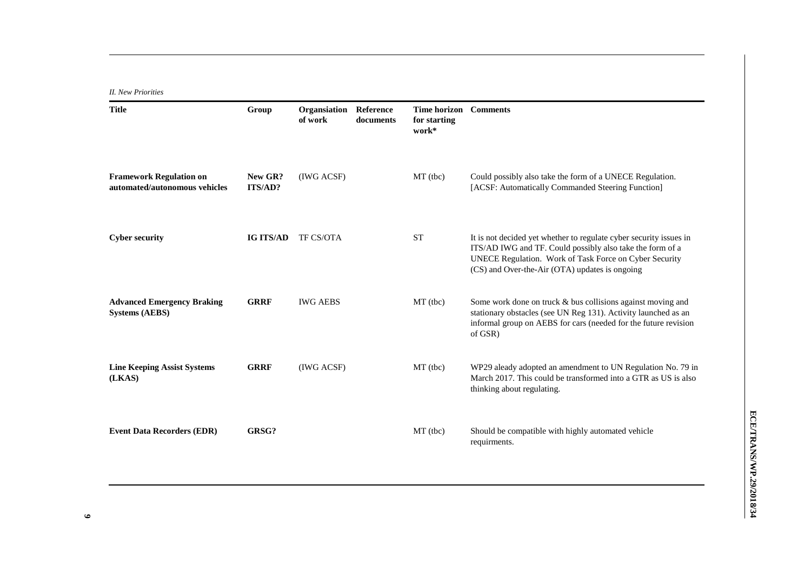*II. New Priorities*

| <b>Title</b>                                                    | Group              | Organsiation<br>of work | Reference<br>documents | <b>Time horizon</b><br>for starting<br>work* | <b>Comments</b>                                                                                                                                                                                                                             |
|-----------------------------------------------------------------|--------------------|-------------------------|------------------------|----------------------------------------------|---------------------------------------------------------------------------------------------------------------------------------------------------------------------------------------------------------------------------------------------|
| <b>Framework Regulation on</b><br>automated/autonomous vehicles | New GR?<br>ITS/AD? | (IWG ACSF)              |                        | MT (tbc)                                     | Could possibly also take the form of a UNECE Regulation.<br>[ACSF: Automatically Commanded Steering Function]                                                                                                                               |
| <b>Cyber security</b>                                           | <b>IG ITS/AD</b>   | TF CS/OTA               |                        | <b>ST</b>                                    | It is not decided yet whether to regulate cyber security issues in<br>ITS/AD IWG and TF. Could possibly also take the form of a<br>UNECE Regulation. Work of Task Force on Cyber Security<br>(CS) and Over-the-Air (OTA) updates is ongoing |
| <b>Advanced Emergency Braking</b><br><b>Systems (AEBS)</b>      | <b>GRRF</b>        | <b>IWG AEBS</b>         |                        | $MT$ (tbc)                                   | Some work done on truck & bus collisions against moving and<br>stationary obstacles (see UN Reg 131). Activity launched as an<br>informal group on AEBS for cars (needed for the future revision<br>of GSR)                                 |
| <b>Line Keeping Assist Systems</b><br>(LKAS)                    | <b>GRRF</b>        | (IWG ACSF)              |                        | $MT$ (tbc)                                   | WP29 aleady adopted an amendment to UN Regulation No. 79 in<br>March 2017. This could be transformed into a GTR as US is also<br>thinking about regulating.                                                                                 |
| <b>Event Data Recorders (EDR)</b>                               | GRSG?              |                         |                        | $MT$ (tbc)                                   | Should be compatible with highly automated vehicle<br>requirments.                                                                                                                                                                          |